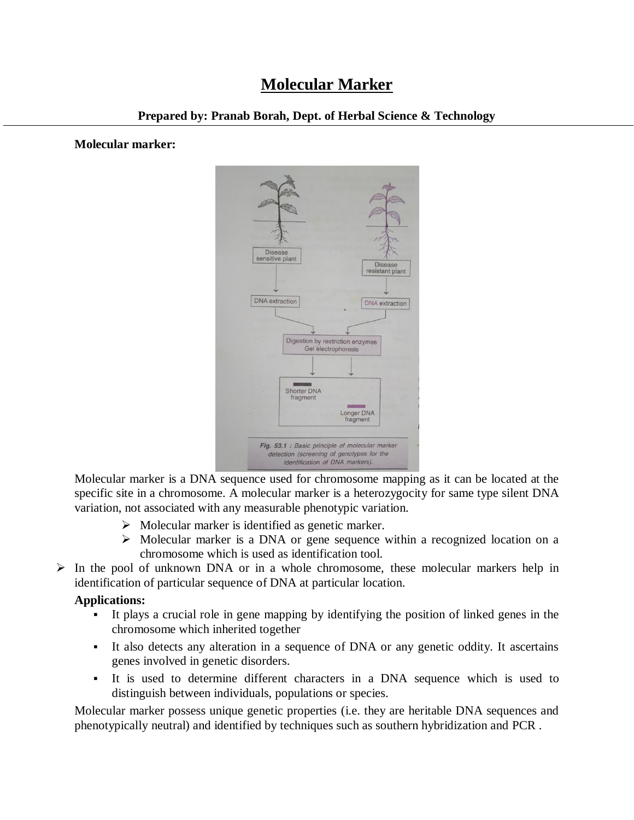# **Molecular Marker**

#### **Prepared by: Pranab Borah, Dept. of Herbal Science & Technology**

#### **Molecular marker:**



Molecular marker is a DNA sequence used for chromosome mapping as it can be located at the specific site in a chromosome. A molecular marker is a heterozygocity for same type silent DNA variation, not associated with any measurable phenotypic variation.

- $\triangleright$  Molecular marker is identified as genetic marker.
- $\triangleright$  Molecular marker is a DNA or gene sequence within a recognized location on a chromosome which is used as identification tool.
- $\triangleright$  In the pool of unknown DNA or in a whole chromosome, these molecular markers help in identification of particular sequence of DNA at particular location.

#### **Applications:**

- It plays a crucial role in gene mapping by identifying the position of linked genes in the chromosome which inherited together
- It also detects any alteration in a sequence of DNA or any genetic oddity. It ascertains genes involved in genetic disorders.
- It is used to determine different characters in a DNA sequence which is used to distinguish between individuals, populations or species.

Molecular marker possess unique genetic properties (i.e. they are heritable DNA sequences and phenotypically neutral) and identified by techniques such as southern hybridization and PCR .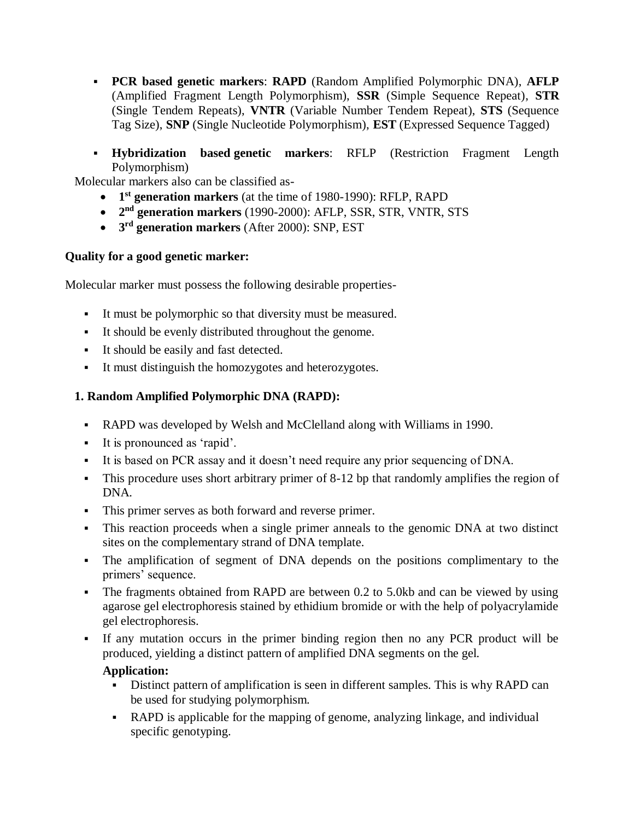- **PCR based genetic markers**: **RAPD** (Random Amplified Polymorphic DNA), **AFLP** (Amplified Fragment Length Polymorphism), **SSR** (Simple Sequence Repeat), **STR** (Single Tendem Repeats), **VNTR** (Variable Number Tendem Repeat), **STS** (Sequence Tag Size), **SNP** (Single Nucleotide Polymorphism), **EST** (Expressed Sequence Tagged)
- **Hybridization based genetic markers**: RFLP (Restriction Fragment Length Polymorphism)

Molecular markers also can be classified as-

- **1 st generation markers** (at the time of 1980-1990): RFLP, RAPD
- **2 nd generation markers** (1990-2000): AFLP, SSR, STR, VNTR, STS
- **3 rd generation markers** (After 2000): SNP, EST

#### **Quality for a good genetic marker:**

Molecular marker must possess the following desirable properties-

- It must be polymorphic so that diversity must be measured.
- It should be evenly distributed throughout the genome.
- It should be easily and fast detected.
- It must distinguish the homozygotes and heterozygotes.

## **1. Random Amplified Polymorphic DNA (RAPD):**

- RAPD was developed by Welsh and McClelland along with Williams in 1990.
- It is pronounced as 'rapid'.
- It is based on PCR assay and it doesn't need require any prior sequencing of DNA.
- This procedure uses short arbitrary primer of 8-12 bp that randomly amplifies the region of DNA.
- This primer serves as both forward and reverse primer.
- This reaction proceeds when a single primer anneals to the genomic DNA at two distinct sites on the complementary strand of DNA template.
- The amplification of segment of DNA depends on the positions complimentary to the primers' sequence.
- The fragments obtained from RAPD are between 0.2 to 5.0kb and can be viewed by using agarose gel electrophoresis stained by ethidium bromide or with the help of polyacrylamide gel electrophoresis.
- If any mutation occurs in the primer binding region then no any PCR product will be produced, yielding a distinct pattern of amplified DNA segments on the gel.

#### **Application:**

- Distinct pattern of amplification is seen in different samples. This is why RAPD can be used for studying polymorphism.
- RAPD is applicable for the mapping of genome, analyzing linkage, and individual specific genotyping.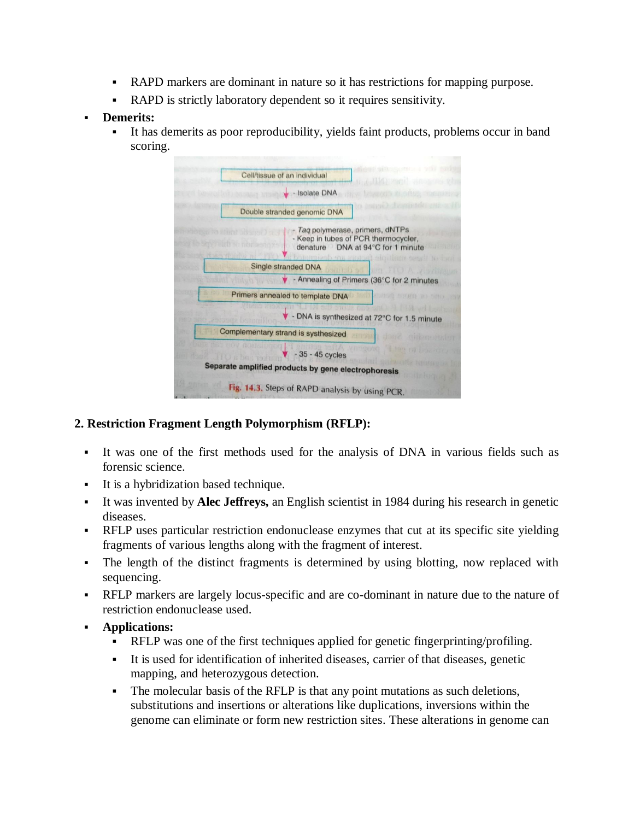- RAPD markers are dominant in nature so it has restrictions for mapping purpose.
- RAPD is strictly laboratory dependent so it requires sensitivity.
- **Demerits:**
	- It has demerits as poor reproducibility, yields faint products, problems occur in band scoring.



# **2. Restriction Fragment Length Polymorphism (RFLP):**

- It was one of the first methods used for the analysis of DNA in various fields such as forensic science.
- It is a hybridization based technique.
- It was invented by **Alec Jeffreys,** an English scientist in 1984 during his research in genetic diseases.
- RFLP uses particular restriction endonuclease enzymes that cut at its specific site yielding fragments of various lengths along with the fragment of interest.
- The length of the distinct fragments is determined by using blotting, now replaced with sequencing.
- RFLP markers are largely locus-specific and are co-dominant in nature due to the nature of restriction endonuclease used.
- **Applications:**
	- RFLP was one of the first techniques applied for genetic fingerprinting/profiling.
	- It is used for identification of inherited diseases, carrier of that diseases, genetic mapping, and heterozygous detection.
	- The molecular basis of the RFLP is that any point mutations as such deletions, substitutions and insertions or alterations like duplications, inversions within the genome can eliminate or form new restriction sites. These alterations in genome can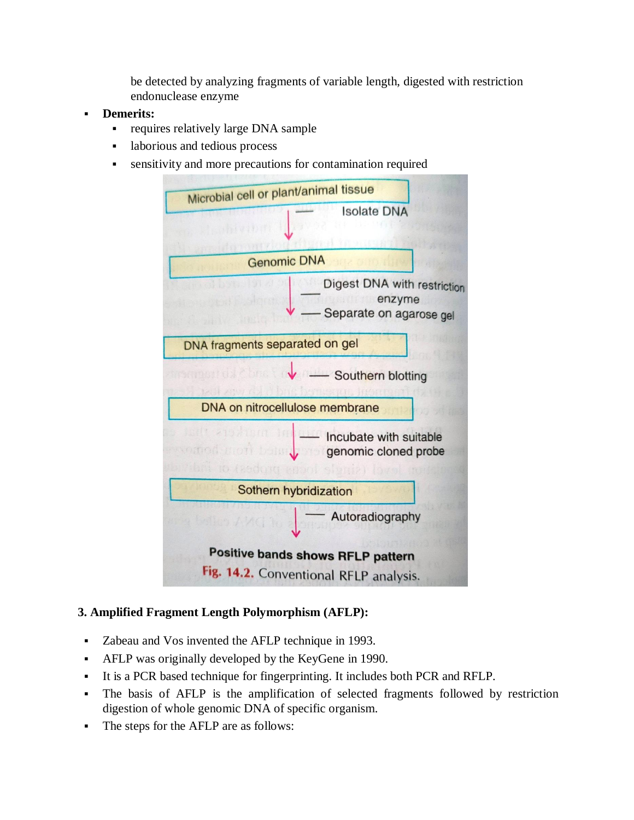be detected by analyzing fragments of variable length, digested with restriction endonuclease enzyme

- **Demerits:**
	- requires relatively large DNA sample
	- **a** laborious and tedious process
	- sensitivity and more precautions for contamination required



# **3. Amplified Fragment Length Polymorphism (AFLP):**

- Zabeau and Vos invented the AFLP technique in 1993.
- AFLP was originally developed by the KeyGene in 1990.
- It is a PCR based technique for fingerprinting. It includes both PCR and RFLP.
- The basis of AFLP is the amplification of selected fragments followed by restriction digestion of whole genomic DNA of specific organism.
- The steps for the AFLP are as follows: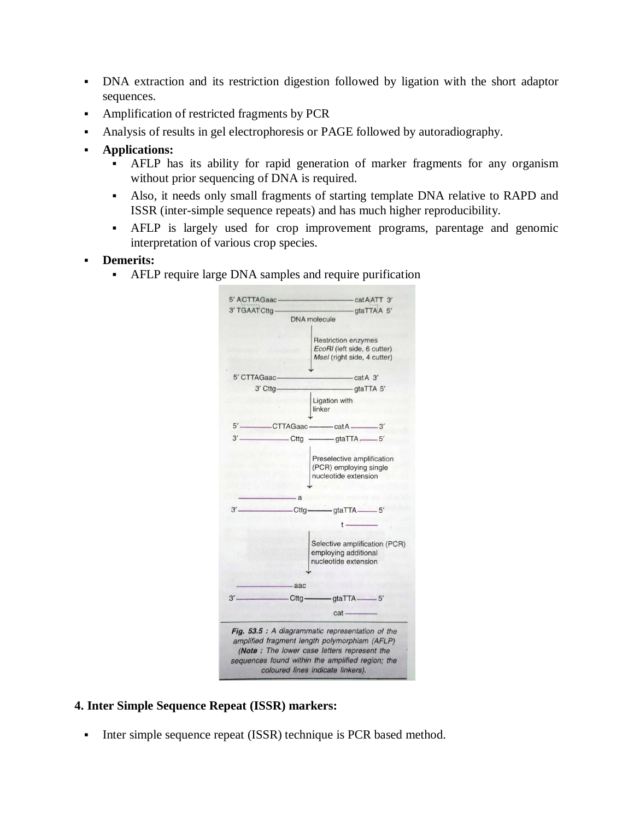- DNA extraction and its restriction digestion followed by ligation with the short adaptor sequences.
- Amplification of restricted fragments by PCR
- Analysis of results in gel electrophoresis or PAGE followed by autoradiography.
- **Applications:**
	- AFLP has its ability for rapid generation of marker fragments for any organism without prior sequencing of DNA is required.
	- Also, it needs only small fragments of starting template DNA relative to RAPD and ISSR (inter-simple sequence repeats) and has much higher reproducibility.
	- AFLP is largely used for crop improvement programs, parentage and genomic interpretation of various crop species.

#### **Demerits:**

AFLP require large DNA samples and require purification



#### **4. Inter Simple Sequence Repeat (ISSR) markers:**

Inter simple sequence repeat (ISSR) technique is PCR based method.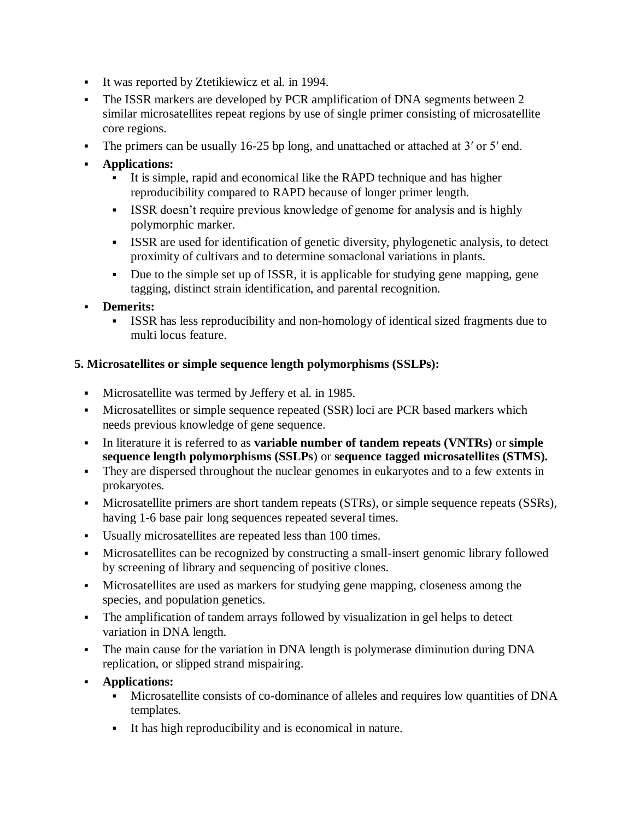- It was reported by Ztetikiewicz et al. in 1994.
- The ISSR markers are developed by PCR amplification of DNA segments between 2 similar microsatellites repeat regions by use of single primer consisting of microsatellite core regions.
- The primers can be usually 16-25 bp long, and unattached or attached at 3' or 5' end.
- **Applications:**
	- It is simple, rapid and economical like the RAPD technique and has higher reproducibility compared to RAPD because of longer primer length.
	- ISSR doesn't require previous knowledge of genome for analysis and is highly polymorphic marker.
	- ISSR are used for identification of genetic diversity, phylogenetic analysis, to detect proximity of cultivars and to determine somaclonal variations in plants.
	- Due to the simple set up of ISSR, it is applicable for studying gene mapping, gene tagging, distinct strain identification, and parental recognition.
- **Demerits:**
	- ISSR has less reproducibility and non-homology of identical sized fragments due to multi locus feature.

# **5. Microsatellites or simple sequence length polymorphisms (SSLPs):**

- Microsatellite was termed by Jeffery et al. in 1985.
- Microsatellites or simple sequence repeated (SSR) loci are PCR based markers which needs previous knowledge of gene sequence.
- In literature it is referred to as **variable number of tandem repeats (VNTRs)** or **simple sequence length polymorphisms (SSLPs**) or **sequence tagged microsatellites (STMS).**
- They are dispersed throughout the nuclear genomes in eukaryotes and to a few extents in prokaryotes.
- Microsatellite primers are short tandem repeats (STRs), or simple sequence repeats (SSRs), having 1-6 base pair long sequences repeated several times.
- Usually microsatellites are repeated less than 100 times.
- Microsatellites can be recognized by constructing a small-insert genomic library followed by screening of library and sequencing of positive clones.
- Microsatellites are used as markers for studying gene mapping, closeness among the species, and population genetics.
- The amplification of tandem arrays followed by visualization in gel helps to detect variation in DNA length.
- The main cause for the variation in DNA length is polymerase diminution during DNA replication, or slipped strand mispairing.
- **Applications:**
	- Microsatellite consists of co-dominance of alleles and requires low quantities of DNA templates.
	- It has high reproducibility and is economical in nature.